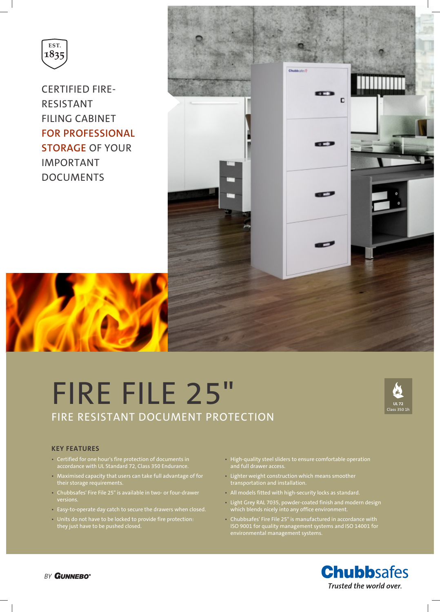

CERTIFIED FIRE-RESISTANT FILING CABINET **FOR PROFESSIONAL STORAGE** OF YOUR IMPORTANT DOCUMENTS



# FIRE FILE 25" FIRE RESISTANT DOCUMENT PROTECTION



#### **KEY FEATURES**

- Certified for one hour's fire protection of documents in accordance with UL Standard 72, Class 350 Endurance.
- Maximised capacity that users can take full advantage of for their storage requirements.
- Chubbsafes' Fire File 25" is available in two- or four-drawer versions.
- Easy-to-operate day catch to secure the drawers when closed.
- Units do not have to be locked to provide fire protection: they just have to be pushed closed.
- High-quality steel sliders to ensure comfortable operation and full drawer access.
- Lighter weight construction which means smoother
- All models fitted with high-security locks as standard.
- Light Grey RAL 7035, powder-coated finish and modern design which blends nicely into any office environment.
- Chubbsafes' Fire File 25" is manufactured in accordance with ISO 9001 for quality management systems and ISO 14001 for environmental management systems.